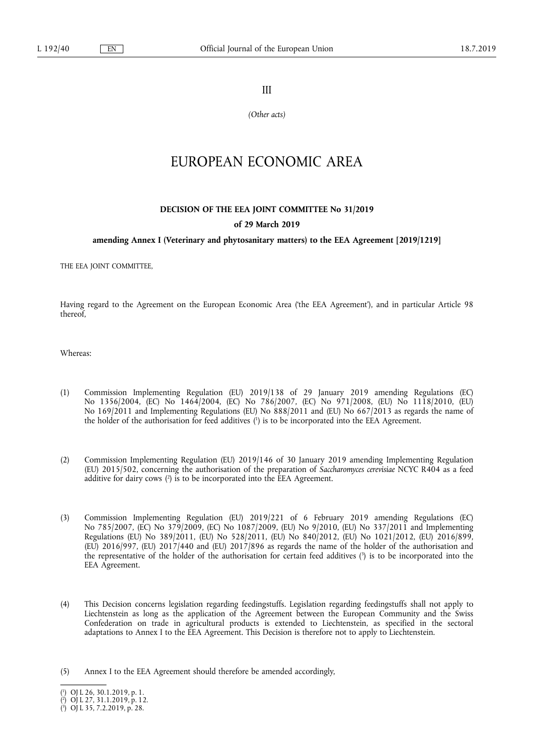III

*(Other acts)* 

# EUROPEAN ECONOMIC AREA

## **DECISION OF THE EEA JOINT COMMITTEE No 31/2019**

## **of 29 March 2019**

## **amending Annex I (Veterinary and phytosanitary matters) to the EEA Agreement [2019/1219]**

THE EEA JOINT COMMITTEE,

Having regard to the Agreement on the European Economic Area ('the EEA Agreement'), and in particular Article 98 thereof,

Whereas:

- (1) Commission Implementing Regulation (EU) 2019/138 of 29 January 2019 amending Regulations (EC) No 1356/2004, (EC) No 1464/2004, (EC) No 786/2007, (EC) No 971/2008, (EU) No 1118/2010, (EU) No 169/2011 and Implementing Regulations (EU) No 888/2011 and (EU) No 667/2013 as regards the name of the holder of the authorisation for feed additives ( 1 ) is to be incorporated into the EEA Agreement.
- (2) Commission Implementing Regulation (EU) 2019/146 of 30 January 2019 amending Implementing Regulation (EU) 2015/502, concerning the authorisation of the preparation of *Saccharomyces cerevisiae* NCYC R404 as a feed additive for dairy cows ( 2 ) is to be incorporated into the EEA Agreement.
- (3) Commission Implementing Regulation (EU) 2019/221 of 6 February 2019 amending Regulations (EC) No 785/2007, (EC) No 379/2009, (EC) No 1087/2009, (EU) No 9/2010, (EU) No 337/2011 and Implementing Regulations (EU) No 389/2011, (EU) No 528/2011, (EU) No 840/2012, (EU) No 1021/2012, (EU) 2016/899, (EU) 2016/997, (EU) 2017/440 and (EU) 2017/896 as regards the name of the holder of the authorisation and the representative of the holder of the authorisation for certain feed additives ( 3 ) is to be incorporated into the EEA Agreement.
- (4) This Decision concerns legislation regarding feedingstuffs. Legislation regarding feedingstuffs shall not apply to Liechtenstein as long as the application of the Agreement between the European Community and the Swiss Confederation on trade in agricultural products is extended to Liechtenstein, as specified in the sectoral adaptations to Annex I to the EEA Agreement. This Decision is therefore not to apply to Liechtenstein.
- (5) Annex I to the EEA Agreement should therefore be amended accordingly,

<sup>(</sup> 1 ) OJ L 26, 30.1.2019, p. 1.

<sup>(</sup> 2 ) OJ L 27, 31.1.2019, p. 12.

<sup>(</sup> 3 ) OJ L 35, 7.2.2019, p. 28.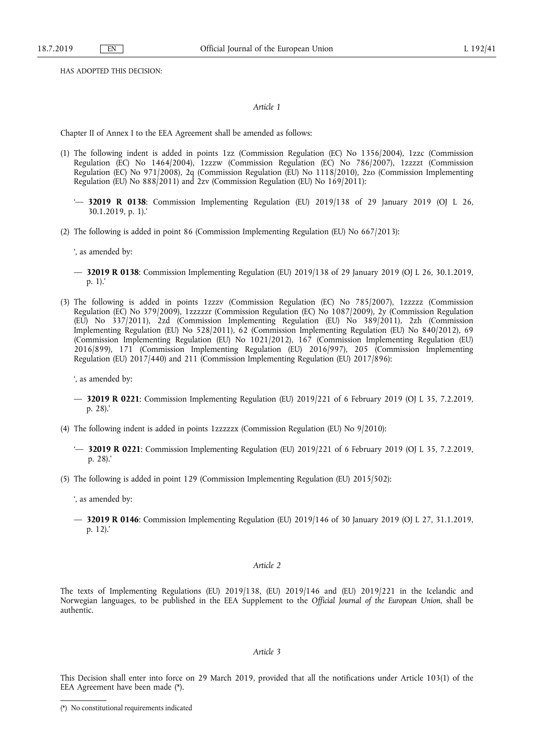HAS ADOPTED THIS DECISION:

#### *Article 1*

Chapter II of Annex I to the EEA Agreement shall be amended as follows:

- (1) The following indent is added in points 1zz (Commission Regulation (EC) No 1356/2004), 1zzc (Commission Regulation (EC) No 1464/2004), 1zzzw (Commission Regulation (EC) No 786/2007), 1zzzzt (Commission Regulation (EC) No 971/2008), 2q (Commission Regulation (EU) No 1118/2010), 2zo (Commission Implementing Regulation (EU) No 888/2011) and 2zv (Commission Regulation (EU) No 169/2011):
	- '— **32019 R 0138**: Commission Implementing Regulation (EU) 2019/138 of 29 January 2019 (OJ L 26, 30.1.2019, p. 1).'
- (2) The following is added in point 86 (Commission Implementing Regulation (EU) No 667/2013):

', as amended by:

- **32019 R 0138**: Commission Implementing Regulation (EU) 2019/138 of 29 January 2019 (OJ L 26, 30.1.2019, p. 1).'
- (3) The following is added in points 1zzzv (Commission Regulation (EC) No 785/2007), 1zzzzz (Commission Regulation (EC) No 379/2009), 1zzzzzr (Commission Regulation (EC) No 1087/2009), 2y (Commission Regulation (EU) No 337/2011), 2zd (Commission Implementing Regulation (EU) No 389/2011), 2zh (Commission Implementing Regulation (EU) No 528/2011), 62 (Commission Implementing Regulation (EU) No 840/2012), 69 (Commission Implementing Regulation (EU) No 1021/2012), 167 (Commission Implementing Regulation (EU) 2016/899), 171 (Commission Implementing Regulation (EU) 2016/997), 205 (Commission Implementing Regulation (EU) 2017/440) and 211 (Commission Implementing Regulation (EU) 2017/896):

', as amended by:

- **32019 R 0221**: Commission Implementing Regulation (EU) 2019/221 of 6 February 2019 (OJ L 35, 7.2.2019, p. 28).'
- (4) The following indent is added in points 1zzzzzx (Commission Regulation (EU) No 9/2010):
	- '— **32019 R 0221**: Commission Implementing Regulation (EU) 2019/221 of 6 February 2019 (OJ L 35, 7.2.2019, p. 28).'
- (5) The following is added in point 129 (Commission Implementing Regulation (EU) 2015/502):

', as amended by:

— **32019 R 0146**: Commission Implementing Regulation (EU) 2019/146 of 30 January 2019 (OJ L 27, 31.1.2019, p. 12).'

# *Article 2*

The texts of Implementing Regulations (EU) 2019/138, (EU) 2019/146 and (EU) 2019/221 in the Icelandic and Norwegian languages, to be published in the EEA Supplement to the *Official Journal of the European Union*, shall be authentic.

# *Article 3*

This Decision shall enter into force on 29 March 2019, provided that all the notifications under Article 103(1) of the EEA Agreement have been made (\*).

<sup>(\*)</sup> No constitutional requirements indicated